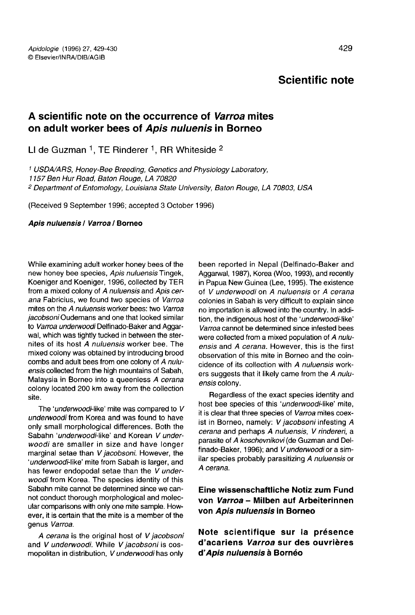## Scientific note

## A scientific note on the occurrence of Varroa mites on adult worker bees of *Apis nuluenis* in Borneo **A scientific note on the occurrence of varroa mite**<br>**Conditionally vorker bees of Apis nuluenis in Borneo**<br>LI de Guzman <sup>1</sup>, TE Rinderer <sup>1</sup>, RR Whiteside <sup>2</sup><br>1157 Ben Hur Road, Baton Rouge, LA 70820<br>2157 Ben Hur Road, Ba

LI de Guzman <sup>1</sup>, TE Rinderer <sup>1</sup>, RR Whiteside <sup>2</sup>

<sup>2</sup> Department of Entomology, Louisiana State University, Baton Rouge, LA 70803, USA

(Received 9 September 1996; accepted 3 October 1996)

Apis nuluensis / Varroa / Borneo

While examining adult worker honey bees of the new honey bee species, Apis nuluensis Tingek, Koeniger and Koeniger, 1996, collected by TER from a mixed colony of A nuluensis and Apis cerana Fabricius, we found two species of Varroa mites on the A nuluensis worker bees: two Varroa jacobsoni Oudemans and one that looked similar to Varroa underwoodi Delfinado-Baker and Aggarwal, which was tightly tucked in between the sternites of its host A nuluensis worker bee. The mixed colony was obtained by introducing brood combs and adult bees from one colony of A nuluensis collected from the high mountains of Sabah, Malaysia in Borneo into a queenless A cerana colony located 200 km away from the collection site.

The 'underwoodi-like' mite was compared to V underwoodi from Korea and was found to have only small morphological differences. Both the Sabahn 'underwoodi-like' and Korean V underwoodi are smaller in size and have longer marginal setae than V jacobsoni. However, the 'underwoodi-like' mite from Sabah is larger, and has fewer endopodal setae than the V underwoodi from Korea. The species identity of this Sabahn mite cannot be determined since we cannot conduct thorough morphological and molecular comparisons with only one mite sample. However, it is certain that the mite is a member of the genus Varroa.

A cerana is the original host of V jacobsoni and V underwoodi. While V jacobsoni is cosmopolitan in distribution, V underwoodi has only

been reported in Nepal (Delfinado-Baker and Aggarwal, 1987), Korea (Woo, 1993), and recently in Papua New Guinea (Lee, 1995). The existence of V underwoodi on A nuluensis or A cerana colonies in Sabah is very difficult to explain since no importation is allowed into the country. In addition, the indigenous host of the 'underwoodi-like' Varroa cannot be determined since infested bees were collected from a mixed population of A nuluensis and A cerana. However, this is the first observation of this mite in Borneo and the coincidence of its collection with A nuluensis workers suggests that it likely came from the A nuluensis colony.

Regardless of the exact species identity and host bee species of this 'underwoodi-like' mite, it is clear that three species of Varroa mites coexist in Borneo, namely: V jacobsoni infesting A cerana and perhaps A nuluensis, V rindereri, a parasite of A koschevnikovi (de Guzman and Delfinado-Baker, 1996); and V underwoodi or a similar species probably parasitizing A nuluensis or A cerana.

## Eine wissenschaftliche Notiz zum Fund von Varroa - Milben auf Arbeiterinnen von Apis nuluensis in Borneo

Note scientifique sur la présence d'acariens Varroa sur des ouvrières d'Apis nuluensis à Bornéo